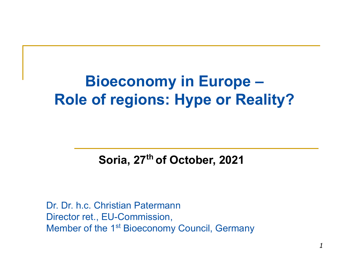# **Bioeconomy in Europe – Role of regions: Hype or Reality?**

#### **Soria, 27th of October, 2021**

Dr. Dr. h.c. Christian Patermann Director ret., EU-Commission, Member of the 1<sup>st</sup> Bioeconomy Council, Germany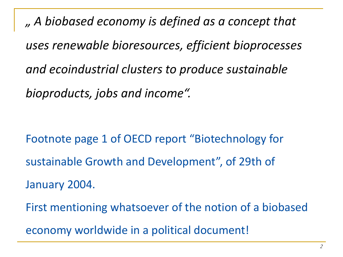*" A biobased economy is defined as a concept that uses renewable bioresources, efficient bioprocesses and ecoindustrial clusters to produce sustainable bioproducts, jobs and income".*

Footnote page 1 of OECD report "Biotechnology for sustainable Growth and Development", of 29th of January 2004. First mentioning whatsoever of the notion of a biobased economy worldwide in a political document!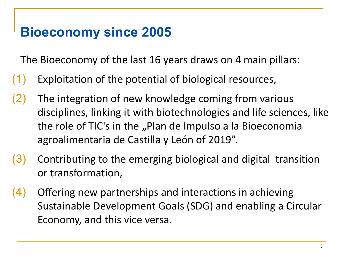# **Bioeconomy since 2005**

The Bioeconomy of the last 16 years draws on 4 main pillars:

- (1) Exploitation of the potential of biological resources,
- (2) The integration of new knowledge coming from various disciplines, linking it with biotechnologies and life sciences, like the role of TIC's in the "Plan de Impulso a la Bioeconomia agroalimentaria de Castilla y León of 2019".
- $(3)$  Contributing to the emerging biological and digital transition or transformation,
- (4) Offering new partnerships and interactions in achieving Sustainable Development Goals (SDG) and enabling a Circular Economy, and this vice versa.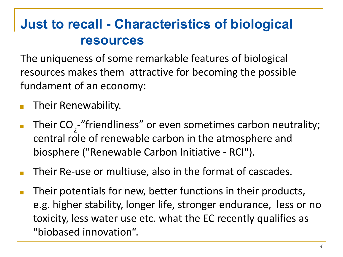# **Just to recall - Characteristics of biological resources**

The uniqueness of some remarkable features of biological resources makes them attractive for becoming the possible fundament of an economy:

- Their Renewability.
- **Their CO**<sub>2</sub>-"friendliness" or even sometimes carbon neutrality; central role of renewable carbon in the atmosphere and biosphere ("Renewable Carbon Initiative - RCI").
- Their Re-use or multiuse, also in the format of cascades.
- Their potentials for new, better functions in their products, e.g. higher stability, longer life, stronger endurance, less or no toxicity, less water use etc. what the EC recently qualifies as "biobased innovation".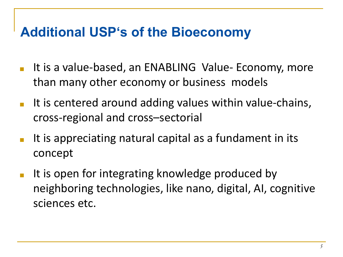# **Additional USP's of the Bioeconomy**

- It is a value-based, an ENABLING Value- Economy, more than many other economy or business models
- It is centered around adding values within value-chains, cross-regional and cross–sectorial
- It is appreciating natural capital as a fundament in its concept
- It is open for integrating knowledge produced by neighboring technologies, like nano, digital, AI, cognitive sciences etc.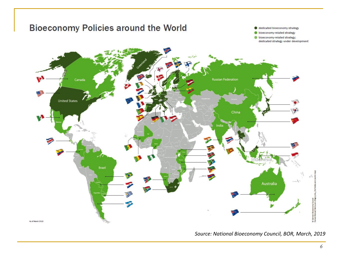

*Source: National Bioeconomy Council, BÖR, March, 2019*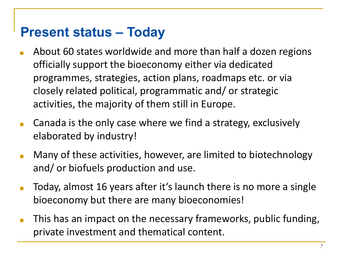# **Present status – Today**

- About 60 states worldwide and more than half a dozen regions officially support the bioeconomy either via dedicated programmes, strategies, action plans, roadmaps etc. or via closely related political, programmatic and/ or strategic activities, the majority of them still in Europe.
- **Canada is the only case where we find a strategy, exclusively** elaborated by industry!
- Many of these activities, however, are limited to biotechnology and/ or biofuels production and use.
- Today, almost 16 years after it's launch there is no more a single bioeconomy but there are many bioeconomies!
- This has an impact on the necessary frameworks, public funding, private investment and thematical content.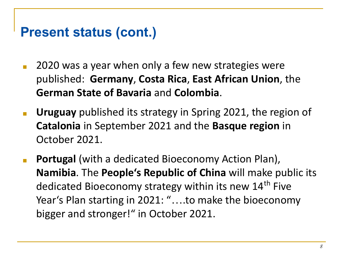## **Present status (cont.)**

- 2020 was a year when only a few new strategies were published: **Germany**, **Costa Rica**, **East African Union**, the **German State of Bavaria** and **Colombia**.
- **■ Uruguay** published its strategy in Spring 2021, the region of **Catalonia** in September 2021 and the **Basque region** in October 2021.
- **■ Portugal** (with a dedicated Bioeconomy Action Plan), **Namibia**. The **People's Republic of China** will make public its dedicated Bioeconomy strategy within its new 14<sup>th</sup> Five Year's Plan starting in 2021: "….to make the bioeconomy bigger and stronger!" in October 2021.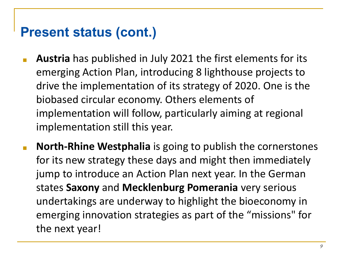## **Present status (cont.)**

- **■ Austria** has published in July 2021 the first elements for its emerging Action Plan, introducing 8 lighthouse projects to drive the implementation of its strategy of 2020. One is the biobased circular economy. Others elements of implementation will follow, particularly aiming at regional implementation still this year.
- **■ North-Rhine Westphalia** is going to publish the cornerstones for its new strategy these days and might then immediately jump to introduce an Action Plan next year. In the German states **Saxony** and **Mecklenburg Pomerania** very serious undertakings are underway to highlight the bioeconomy in emerging innovation strategies as part of the "missions" for the next year!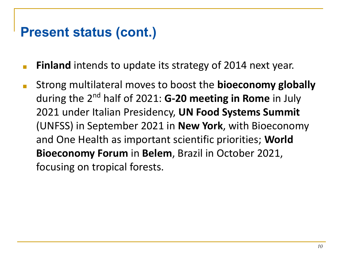## **Present status (cont.)**

- **Finland** intends to update its strategy of 2014 next year.
- Strong multilateral moves to boost the **bioeconomy globally** during the 2nd half of 2021: **G-20 meeting in Rome** in July 2021 under Italian Presidency, **UN Food Systems Summit**  (UNFSS) in September 2021 in **New York**, with Bioeconomy and One Health as important scientific priorities; **World Bioeconomy Forum** in **Belem**, Brazil in October 2021, focusing on tropical forests.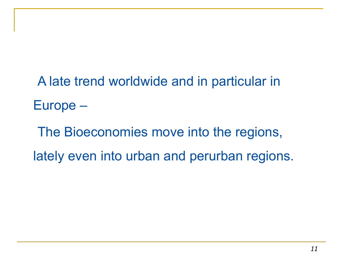A late trend worldwide and in particular in Europe –

The Bioeconomies move into the regions, lately even into urban and perurban regions.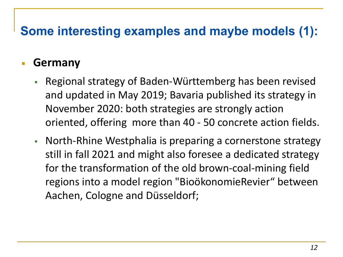# **Some interesting examples and maybe models (1):**

#### **Germany**

- Regional strategy of Baden-Württemberg has been revised and updated in May 2019; Bavaria published its strategy in November 2020: both strategies are strongly action oriented, offering more than 40 - 50 concrete action fields.
- **North-Rhine Westphalia is preparing a cornerstone strategy** still in fall 2021 and might also foresee a dedicated strategy for the transformation of the old brown-coal-mining field regions into a model region "BioökonomieRevier" between Aachen, Cologne and Düsseldorf;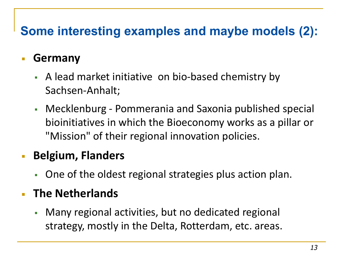# **Some interesting examples and maybe models (2):**

#### ▪ **Germany**

- A lead market initiative on bio-based chemistry by Sachsen-Anhalt;
- Mecklenburg Pommerania and Saxonia published special bioinitiatives in which the Bioeconomy works as a pillar or "Mission" of their regional innovation policies.

#### ▪ **Belgium, Flanders**

▪ One of the oldest regional strategies plus action plan.

#### **The Netherlands**

**• Many regional activities, but no dedicated regional** strategy, mostly in the Delta, Rotterdam, etc. areas.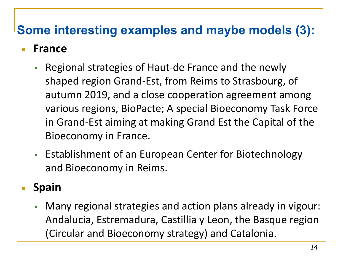# **Some interesting examples and maybe models (3):**

#### ▪ **France**

- **Regional strategies of Haut-de France and the newly** shaped region Grand-Est, from Reims to Strasbourg, of autumn 2019, and a close cooperation agreement among various regions, BioPacte; A special Bioeconomy Task Force in Grand-Est aiming at making Grand Est the Capital of the Bioeconomy in France.
- **Establishment of an European Center for Biotechnology** and Bioeconomy in Reims.

#### ▪ **Spain**

▪ Many regional strategies and action plans already in vigour: Andalucia, Estremadura, Castillia y Leon, the Basque region (Circular and Bioeconomy strategy) and Catalonia.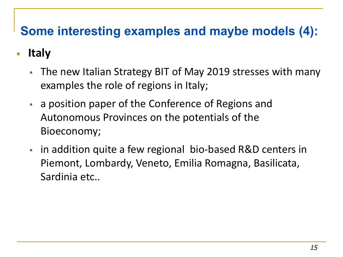# **Some interesting examples and maybe models (4):**

#### ▪ **Italy**

- The new Italian Strategy BIT of May 2019 stresses with many examples the role of regions in Italy;
- **Example 2** a position paper of the Conference of Regions and Autonomous Provinces on the potentials of the Bioeconomy;
- in addition quite a few regional bio-based R&D centers in Piemont, Lombardy, Veneto, Emilia Romagna, Basilicata, Sardinia etc..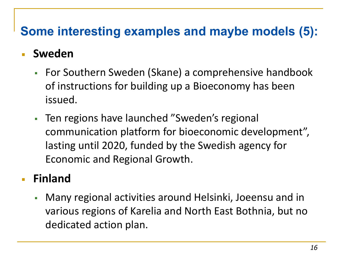## **Some interesting examples and maybe models (5):**

#### **Sweden**

- For Southern Sweden (Skane) a comprehensive handbook of instructions for building up a Bioeconomy has been issued.
- Ten regions have launched "Sweden's regional communication platform for bioeconomic development", lasting until 2020, funded by the Swedish agency for Economic and Regional Growth.

#### ▪ **Finland**

▪ Many regional activities around Helsinki, Joeensu and in various regions of Karelia and North East Bothnia, but no dedicated action plan.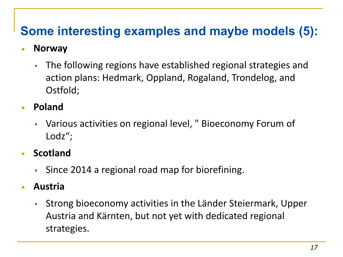# **Some interesting examples and maybe models (5):**

#### ▪ **Norway**

- The following regions have established regional strategies and action plans: Hedmark, Oppland, Rogaland, Trondelog, and Ostfold;
- **Poland** 
	- Various activities on regional level, " Bioeconomy Forum of Lodz";
- **Scotland** 
	- Since 2014 a regional road map for biorefining.
- **Austria** 
	- Strong bioeconomy activities in the Länder Steiermark, Upper Austria and Kärnten, but not yet with dedicated regional strategies.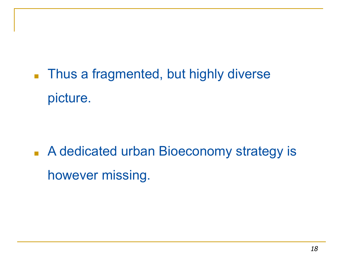■ Thus a fragmented, but highly diverse picture.

■ A dedicated urban Bioeconomy strategy is however missing.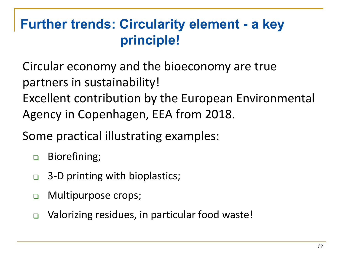# **Further trends: Circularity element - a key principle!**

Circular economy and the bioeconomy are true partners in sustainability!

Excellent contribution by the European Environmental Agency in Copenhagen, EEA from 2018.

Some practical illustrating examples:

- ❑ Biorefining;
- ❑ 3-D printing with bioplastics;
- ❑ Multipurpose crops;
- ❑ Valorizing residues, in particular food waste!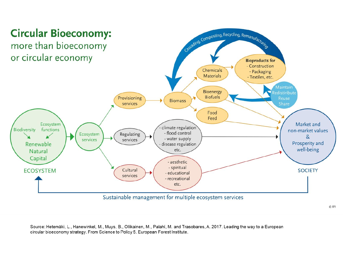

© EFI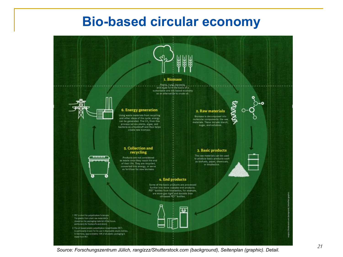#### **Bio-based circular economy**



*<sup>21</sup> Source: Forschungszentrum Jülich, rangizzz/Shutterstock.com (background), Seitenplan (graphic). Detail.*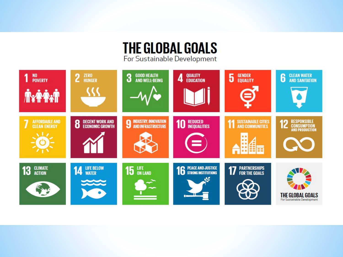#### **THE GLOBAL GOALS** For Sustainable Development

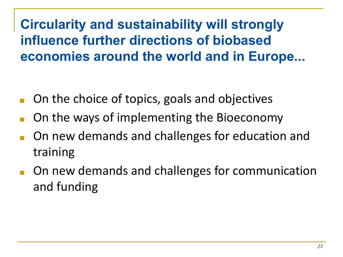**Circularity and sustainability will strongly influence further directions of biobased economies around the world and in Europe...**

- On the choice of topics, goals and objectives
- On the ways of implementing the Bioeconomy
- On new demands and challenges for education and training
- On new demands and challenges for communication and funding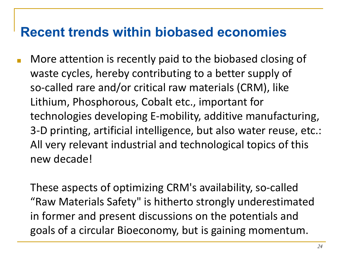## **Recent trends within biobased economies**

■ More attention is recently paid to the biobased closing of waste cycles, hereby contributing to a better supply of so-called rare and/or critical raw materials (CRM), like Lithium, Phosphorous, Cobalt etc., important for technologies developing E-mobility, additive manufacturing, 3-D printing, artificial intelligence, but also water reuse, etc.: All very relevant industrial and technological topics of this new decade!

These aspects of optimizing CRM's availability, so-called "Raw Materials Safety" is hitherto strongly underestimated in former and present discussions on the potentials and goals of a circular Bioeconomy, but is gaining momentum.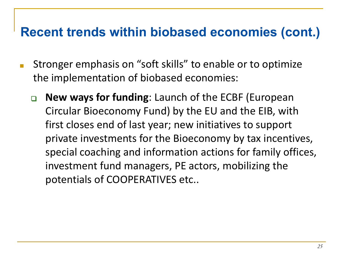## **Recent trends within biobased economies (cont.)**

- Stronger emphasis on "soft skills" to enable or to optimize the implementation of biobased economies:
	- ❑ **New ways for funding**: Launch of the ECBF (European Circular Bioeconomy Fund) by the EU and the EIB, with first closes end of last year; new initiatives to support private investments for the Bioeconomy by tax incentives, special coaching and information actions for family offices, investment fund managers, PE actors, mobilizing the potentials of COOPERATIVES etc..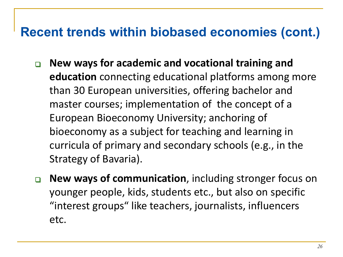## **Recent trends within biobased economies (cont.)**

- ❑ **New ways for academic and vocational training and education** connecting educational platforms among more than 30 European universities, offering bachelor and master courses; implementation of the concept of a European Bioeconomy University; anchoring of bioeconomy as a subject for teaching and learning in curricula of primary and secondary schools (e.g., in the Strategy of Bavaria).
- ❑ **New ways of communication**, including stronger focus on younger people, kids, students etc., but also on specific "interest groups" like teachers, journalists, influencers etc.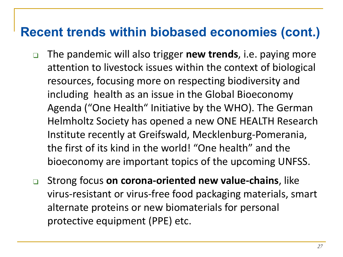#### **Recent trends within biobased economies (cont.)**

- ❑ The pandemic will also trigger **new trends**, i.e. paying more attention to livestock issues within the context of biological resources, focusing more on respecting biodiversity and including health as an issue in the Global Bioeconomy Agenda ("One Health" Initiative by the WHO). The German Helmholtz Society has opened a new ONE HEALTH Research Institute recently at Greifswald, Mecklenburg-Pomerania, the first of its kind in the world! "One health" and the bioeconomy are important topics of the upcoming UNFSS.
- ❑ Strong focus **on corona-oriented new value-chains**, like virus-resistant or virus-free food packaging materials, smart alternate proteins or new biomaterials for personal protective equipment (PPE) etc.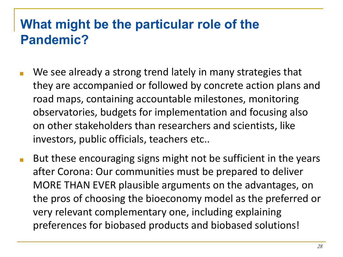# **What might be the particular role of the Pandemic?**

- We see already a strong trend lately in many strategies that they are accompanied or followed by concrete action plans and road maps, containing accountable milestones, monitoring observatories, budgets for implementation and focusing also on other stakeholders than researchers and scientists, like investors, public officials, teachers etc..
- But these encouraging signs might not be sufficient in the years after Corona: Our communities must be prepared to deliver MORE THAN EVER plausible arguments on the advantages, on the pros of choosing the bioeconomy model as the preferred or very relevant complementary one, including explaining preferences for biobased products and biobased solutions!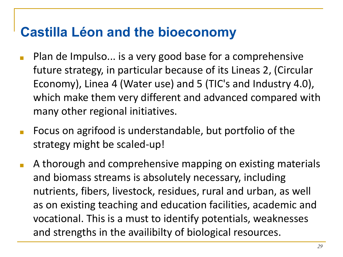# **Castilla Léon and the bioeconomy**

- Plan de Impulso... is a very good base for a comprehensive future strategy, in particular because of its Lineas 2, (Circular Economy), Linea 4 (Water use) and 5 (TIC's and Industry 4.0), which make them very different and advanced compared with many other regional initiatives.
- Focus on agrifood is understandable, but portfolio of the strategy might be scaled-up!
- A thorough and comprehensive mapping on existing materials and biomass streams is absolutely necessary, including nutrients, fibers, livestock, residues, rural and urban, as well as on existing teaching and education facilities, academic and vocational. This is a must to identify potentials, weaknesses and strengths in the availibilty of biological resources.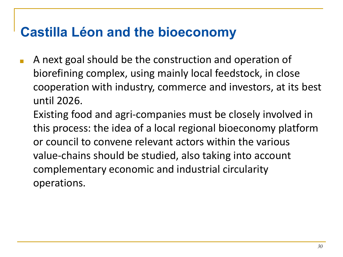# **Castilla Léon and the bioeconomy**

■ A next goal should be the construction and operation of biorefining complex, using mainly local feedstock, in close cooperation with industry, commerce and investors, at its best until 2026.

Existing food and agri-companies must be closely involved in this process: the idea of a local regional bioeconomy platform or council to convene relevant actors within the various value-chains should be studied, also taking into account complementary economic and industrial circularity operations.